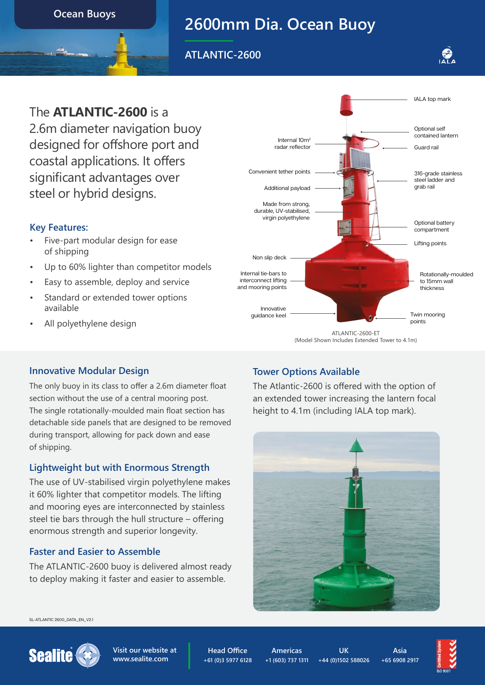**Ocean Buoys**

# **2600mm Dia. Ocean Buoy**

**ATLANTIC-2600**



# The **ATLANTIC-2600** is a

2.6m diameter navigation buoy designed for offshore port and coastal applications. It offers significant advantages over steel or hybrid designs.

### **Key Features:**

- Five-part modular design for ease of shipping
- Up to 60% lighter than competitor models
- Easy to assemble, deploy and service
- Standard or extended tower options available
- All polyethylene design



#### **Innovative Modular Design**

The only buoy in its class to offer a 2.6m diameter float section without the use of a central mooring post. The single rotationally-moulded main float section has detachable side panels that are designed to be removed during transport, allowing for pack down and ease of shipping.

### **Lightweight but with Enormous Strength**

The use of UV-stabilised virgin polyethylene makes it 60% lighter that competitor models. The lifting and mooring eyes are interconnected by stainless steel tie bars through the hull structure – offering enormous strength and superior longevity.

### **Faster and Easier to Assemble**

The ATLANTIC-2600 buoy is delivered almost ready to deploy making it faster and easier to assemble.

### **Tower Options Available**

The Atlantic-2600 is offered with the option of an extended tower increasing the lantern focal height to 4.1m (including IALA top mark).



SL-ATLANTIC 2600\_DATA\_EN\_V2.1



**Visit our website at [www.sealite.com](https://www.sealite.com)**

**Head Office +61 (0)3 5977 6128**

**Americas +1 (603) 737 1311**

**UK +44 (0)1502 588026**